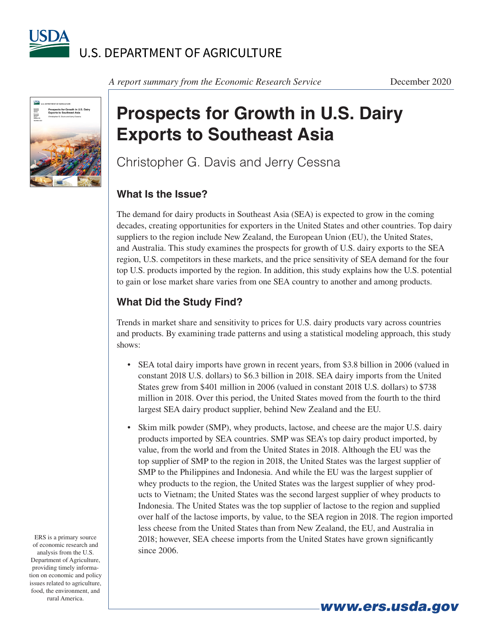

**Prospects for Grow<br>Exports to Southea** Economic<br>Research Economic<br>Research<br>Report

*A report summary from the Economic Research Service* December 2020

## **Prospects for Growth in U.S. Dairy Exports to Southeast Asia**

Christopher G. Davis and Jerry Cessna

## **What Is the Issue?**

The demand for dairy products in Southeast Asia (SEA) is expected to grow in the coming decades, creating opportunities for exporters in the United States and other countries. Top dairy suppliers to the region include New Zealand, the European Union (EU), the United States, and Australia. This study examines the prospects for growth of U.S. dairy exports to the SEA region, U.S. competitors in these markets, and the price sensitivity of SEA demand for the four top U.S. products imported by the region. In addition, this study explains how the U.S. potential to gain or lose market share varies from one SEA country to another and among products.

## **What Did the Study Find?**

Trends in market share and sensitivity to prices for U.S. dairy products vary across countries and products. By examining trade patterns and using a statistical modeling approach, this study shows:

- SEA total dairy imports have grown in recent years, from \$3.8 billion in 2006 (valued in constant 2018 U.S. dollars) to \$6.3 billion in 2018. SEA dairy imports from the United States grew from \$401 million in 2006 (valued in constant 2018 U.S. dollars) to \$738 million in 2018. Over this period, the United States moved from the fourth to the third largest SEA dairy product supplier, behind New Zealand and the EU.
- Skim milk powder (SMP), whey products, lactose, and cheese are the major U.S. dairy products imported by SEA countries. SMP was SEA's top dairy product imported, by value, from the world and from the United States in 2018. Although the EU was the top supplier of SMP to the region in 2018, the United States was the largest supplier of SMP to the Philippines and Indonesia. And while the EU was the largest supplier of whey products to the region, the United States was the largest supplier of whey products to Vietnam; the United States was the second largest supplier of whey products to Indonesia. The United States was the top supplier of lactose to the region and supplied over half of the lactose imports, by value, to the SEA region in 2018. The region imported less cheese from the United States than from New Zealand, the EU, and Australia in 2018; however, SEA cheese imports from the United States have grown significantly since 2006.

*www.ers.usda.gov*

ERS is a primary source of economic research and analysis from the U.S. Department of Agriculture, providing timely information on economic and policy issues related to agriculture, food, the environment, and rural America.